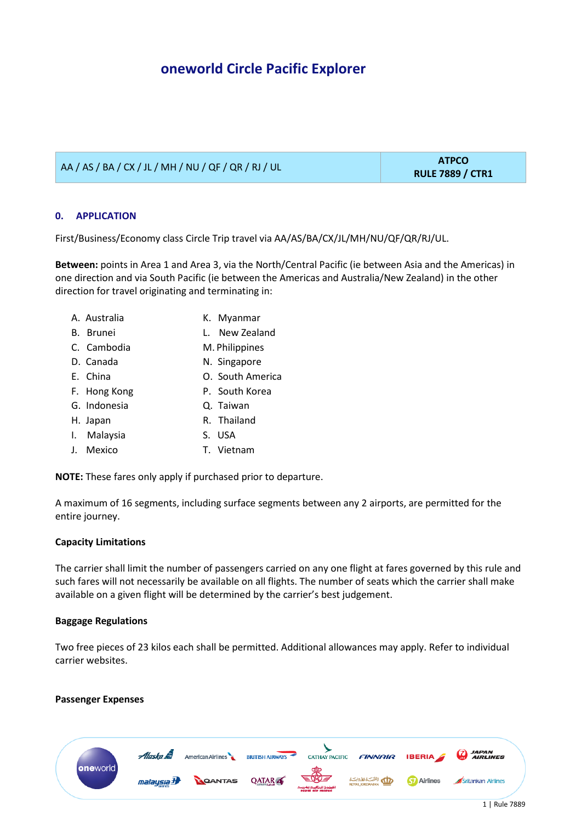AA / AS / BA / CX / JL / MH / NU / QF / QR / RJ / UL **ATPCO** 

# **0. APPLICATION**

First/Business/Economy class Circle Trip travel via AA/AS/BA/CX/JL/MH/NU/QF/QR/RJ/UL.

**Between:** points in Area 1 and Area 3, via the North/Central Pacific (ie between Asia and the Americas) in one direction and via South Pacific (ie between the Americas and Australia/New Zealand) in the other direction for travel originating and terminating in:

- A. Australia K. Myanmar
	-
- 
- B. Brunei L. New Zealand
- C. Cambodia M. Philippines
- D. Canada N. Singapore
- E. China O. South America
- F. Hong Kong **P. South Korea**
- G. Indonesia Q. Taiwan
- H. Japan R. Thailand
- I. Malaysia S. USA
- J. Mexico T. Vietnam

**NOTE:** These fares only apply if purchased prior to departure.

A maximum of 16 segments, including surface segments between any 2 airports, are permitted for the entire journey.

## **Capacity Limitations**

The carrier shall limit the number of passengers carried on any one flight at fares governed by this rule and such fares will not necessarily be available on all flights. The number of seats which the carrier shall make available on a given flight will be determined by the carrier's best judgement.

## **Baggage Regulations**

Two free pieces of 23 kilos each shall be permitted. Additional allowances may apply. Refer to individual carrier websites.

## **Passenger Expenses**

**RULE 7889 / CTR1**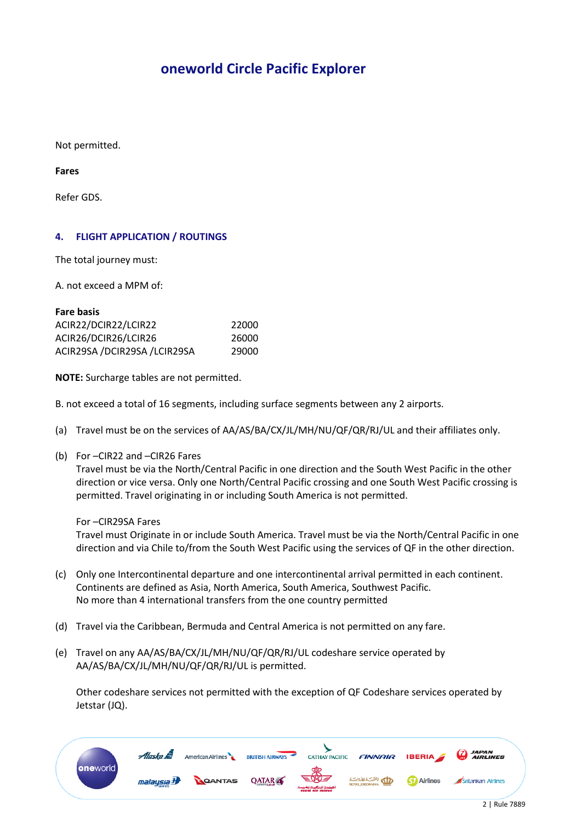Not permitted.

**Fares**

Refer GDS.

## **4. FLIGHT APPLICATION / ROUTINGS**

The total journey must:

A. not exceed a MPM of:

| <b>Fare basis</b>            |       |
|------------------------------|-------|
| ACIR22/DCIR22/LCIR22         | 22000 |
| ACIR26/DCIR26/LCIR26         | 26000 |
| ACIR29SA /DCIR29SA /LCIR29SA | 29000 |

**NOTE:** Surcharge tables are not permitted.

B. not exceed a total of 16 segments, including surface segments between any 2 airports.

- (a) Travel must be on the services of AA/AS/BA/CX/JL/MH/NU/QF/QR/RJ/UL and their affiliates only.
- (b) For –CIR22 and –CIR26 Fares

Travel must be via the North/Central Pacific in one direction and the South West Pacific in the other direction or vice versa. Only one North/Central Pacific crossing and one South West Pacific crossing is permitted. Travel originating in or including South America is not permitted.

For –CIR29SA Fares

Travel must Originate in or include South America. Travel must be via the North/Central Pacific in one direction and via Chile to/from the South West Pacific using the services of QF in the other direction.

- (c) Only one Intercontinental departure and one intercontinental arrival permitted in each continent. Continents are defined as Asia, North America, South America, Southwest Pacific. No more than 4 international transfers from the one country permitted
- (d) Travel via the Caribbean, Bermuda and Central America is not permitted on any fare.
- (e) Travel on any AA/AS/BA/CX/JL/MH/NU/QF/QR/RJ/UL codeshare service operated by AA/AS/BA/CX/JL/MH/NU/QF/QR/RJ/UL is permitted.

Other codeshare services not permitted with the exception of QF Codeshare services operated by Jetstar (JQ).

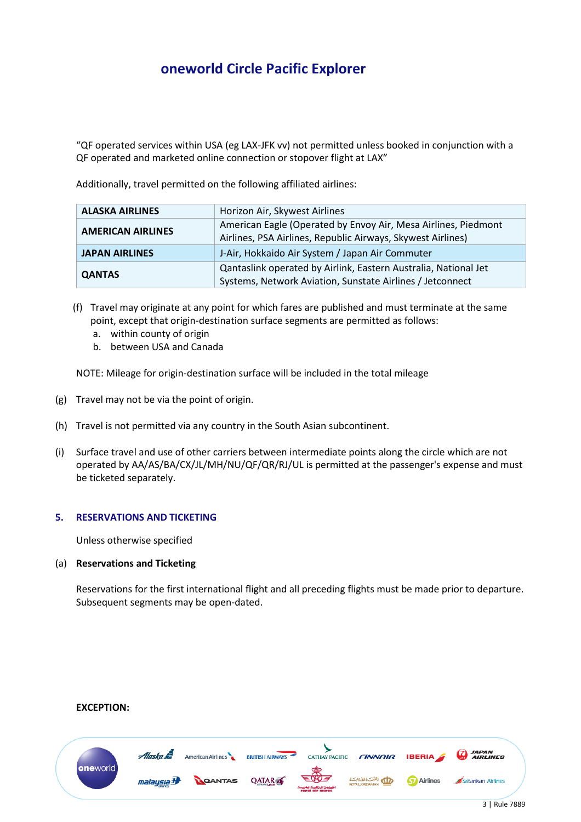"QF operated services within USA (eg LAX-JFK vv) not permitted unless booked in conjunction with a QF operated and marketed online connection or stopover flight at LAX"

Additionally, travel permitted on the following affiliated airlines:

| <b>ALASKA AIRLINES</b>   | Horizon Air, Skywest Airlines                                                                                                 |
|--------------------------|-------------------------------------------------------------------------------------------------------------------------------|
| <b>AMERICAN AIRLINES</b> | American Eagle (Operated by Envoy Air, Mesa Airlines, Piedmont<br>Airlines, PSA Airlines, Republic Airways, Skywest Airlines) |
| <b>JAPAN AIRLINES</b>    | J-Air, Hokkaido Air System / Japan Air Commuter                                                                               |
| <b>QANTAS</b>            | Qantaslink operated by Airlink, Eastern Australia, National Jet<br>Systems, Network Aviation, Sunstate Airlines / Jetconnect  |

- (f) Travel may originate at any point for which fares are published and must terminate at the same point, except that origin-destination surface segments are permitted as follows:
	- a. within county of origin
	- b. between USA and Canada

NOTE: Mileage for origin-destination surface will be included in the total mileage

- (g) Travel may not be via the point of origin.
- (h) Travel is not permitted via any country in the South Asian subcontinent.
- (i) Surface travel and use of other carriers between intermediate points along the circle which are not operated by AA/AS/BA/CX/JL/MH/NU/QF/QR/RJ/UL is permitted at the passenger's expense and must be ticketed separately.

## **5. RESERVATIONS AND TICKETING**

Unless otherwise specified

## (a) **Reservations and Ticketing**

Reservations for the first international flight and all preceding flights must be made prior to departure. Subsequent segments may be open-dated.

### **EXCEPTION:**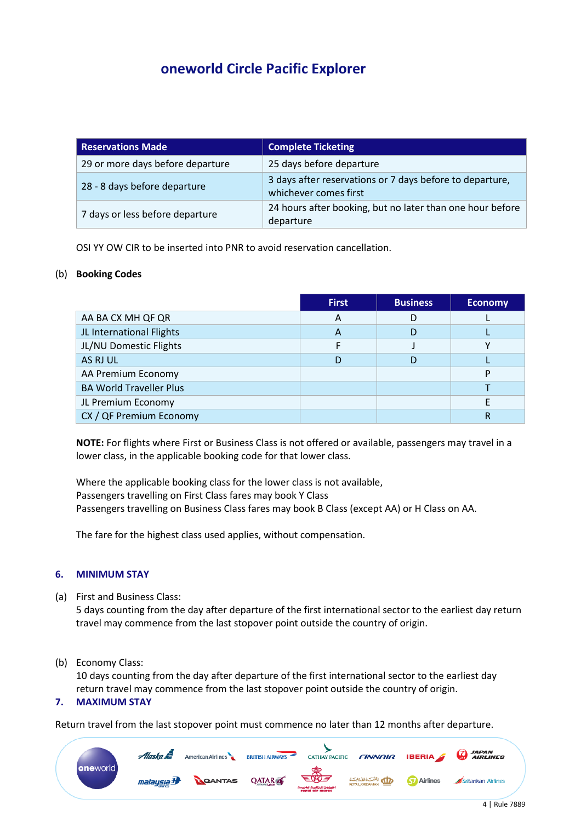| <b>Reservations Made</b>         | <b>Complete Ticketing</b>                                                         |
|----------------------------------|-----------------------------------------------------------------------------------|
| 29 or more days before departure | 25 days before departure                                                          |
| 28 - 8 days before departure     | 3 days after reservations or 7 days before to departure,<br>whichever comes first |
| 7 days or less before departure  | 24 hours after booking, but no later than one hour before<br>departure            |

OSI YY OW CIR to be inserted into PNR to avoid reservation cancellation.

## (b) **Booking Codes**

|                                | <b>First</b> | <b>Business</b> | <b>Economy</b> |
|--------------------------------|--------------|-----------------|----------------|
| AA BA CX MH QF QR              | A            | D               |                |
| JL International Flights       | A            | D               |                |
| JL/NU Domestic Flights         |              |                 |                |
| AS RJ UL                       | D            |                 |                |
| AA Premium Economy             |              |                 | P              |
| <b>BA World Traveller Plus</b> |              |                 |                |
| JL Premium Economy             |              |                 |                |
| CX / QF Premium Economy        |              |                 | R              |

**NOTE:** For flights where First or Business Class is not offered or available, passengers may travel in a lower class, in the applicable booking code for that lower class.

Where the applicable booking class for the lower class is not available, Passengers travelling on First Class fares may book Y Class Passengers travelling on Business Class fares may book B Class (except AA) or H Class on AA.

The fare for the highest class used applies, without compensation.

## **6. MINIMUM STAY**

(a) First and Business Class:

5 days counting from the day after departure of the first international sector to the earliest day return travel may commence from the last stopover point outside the country of origin.

(b) Economy Class:

10 days counting from the day after departure of the first international sector to the earliest day return travel may commence from the last stopover point outside the country of origin.

## **7. MAXIMUM STAY**

Return travel from the last stopover point must commence no later than 12 months after departure.

|          | Alaska &                          | American Airlines | <b>BRITISH AIRWAYS</b> |                                                    |                            |                    | CATHAY PACIFIC <b>FINNAIR IBERIA CATHAY PACIFIC</b> |
|----------|-----------------------------------|-------------------|------------------------|----------------------------------------------------|----------------------------|--------------------|-----------------------------------------------------|
| oneworld | malaysia $\boldsymbol{\vartheta}$ | <b>ROANTAS</b>    | <b>QATAR</b>           | ERE<br>الغطوط الملكمية المخبصية<br>royal air marce | الشبكة المادونيتية المتحدة | <b>Ky</b> Airlines | Srilankan Airlines                                  |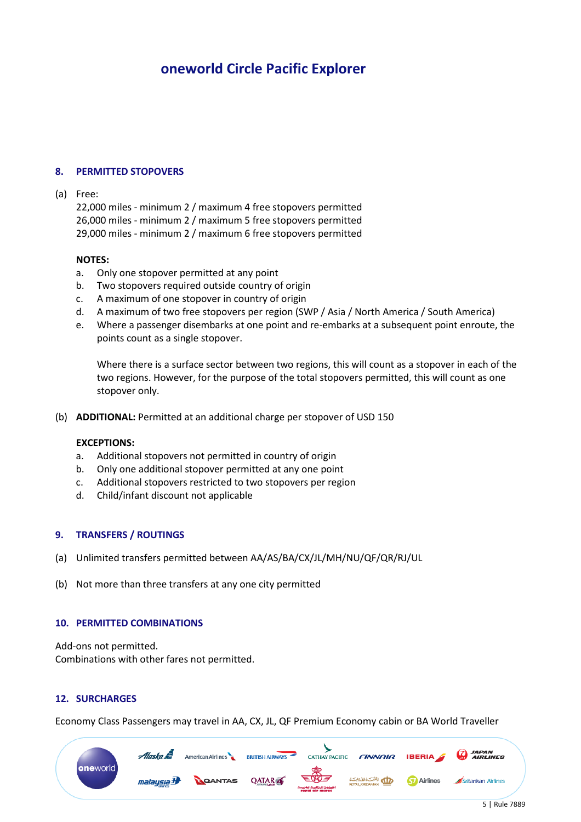## **8. PERMITTED STOPOVERS**

### (a) Free:

22,000 miles - minimum 2 / maximum 4 free stopovers permitted 26,000 miles - minimum 2 / maximum 5 free stopovers permitted 29,000 miles - minimum 2 / maximum 6 free stopovers permitted

#### **NOTES:**

- a. Only one stopover permitted at any point
- b. Two stopovers required outside country of origin
- c. A maximum of one stopover in country of origin
- d. A maximum of two free stopovers per region (SWP / Asia / North America / South America)
- e. Where a passenger disembarks at one point and re-embarks at a subsequent point enroute, the points count as a single stopover.

Where there is a surface sector between two regions, this will count as a stopover in each of the two regions. However, for the purpose of the total stopovers permitted, this will count as one stopover only.

(b) **ADDITIONAL:** Permitted at an additional charge per stopover of USD 150

### **EXCEPTIONS:**

- a. Additional stopovers not permitted in country of origin
- b. Only one additional stopover permitted at any one point
- c. Additional stopovers restricted to two stopovers per region
- d. Child/infant discount not applicable

### **9. TRANSFERS / ROUTINGS**

- (a) Unlimited transfers permitted between AA/AS/BA/CX/JL/MH/NU/QF/QR/RJ/UL
- (b) Not more than three transfers at any one city permitted

#### **10. PERMITTED COMBINATIONS**

Add-ons not permitted. Combinations with other fares not permitted.

### **12. SURCHARGES**

Economy Class Passengers may travel in AA, CX, JL, QF Premium Economy cabin or BA World Traveller

|                  | Alaska &                           | American Airlines | <b>BRITISH AIRWAYS</b> | <b>CATHAY PACIFIC</b>                             |                       |                    | $FINNIAR$ IBERIA $\bigotimes$ AIRLINES |
|------------------|------------------------------------|-------------------|------------------------|---------------------------------------------------|-----------------------|--------------------|----------------------------------------|
| <b>one</b> world | malaysia $\boldsymbol{\mathrm{H}}$ | <b>ROANTAS</b>    | <b>QATAR</b>           | SS 3<br>للفطوط الملكف تزاخاتهم<br>royal air marce | الله بالشبك المادونيك | <b>Ky</b> Airlines | Srilankan Airlines                     |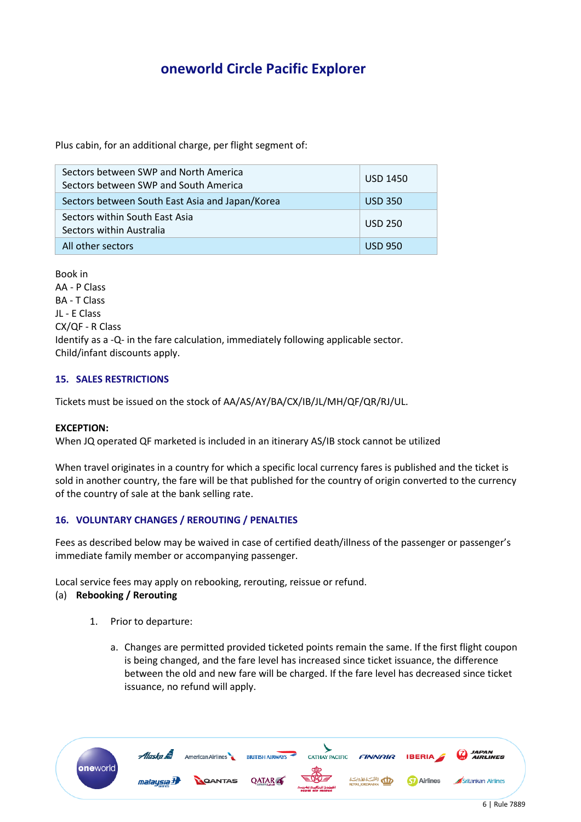Plus cabin, for an additional charge, per flight segment of:

| Sectors between SWP and North America<br>Sectors between SWP and South America | <b>USD 1450</b> |
|--------------------------------------------------------------------------------|-----------------|
| Sectors between South East Asia and Japan/Korea                                | <b>USD 350</b>  |
| Sectors within South East Asia<br>Sectors within Australia                     | <b>USD 250</b>  |
| All other sectors                                                              | <b>USD 950</b>  |

Book in AA - P Class BA - T Class JL - E Class CX/QF - R Class Identify as a -Q- in the fare calculation, immediately following applicable sector. Child/infant discounts apply.

# **15. SALES RESTRICTIONS**

Tickets must be issued on the stock of AA/AS/AY/BA/CX/IB/JL/MH/QF/QR/RJ/UL.

### **EXCEPTION:**

When JQ operated QF marketed is included in an itinerary AS/IB stock cannot be utilized

When travel originates in a country for which a specific local currency fares is published and the ticket is sold in another country, the fare will be that published for the country of origin converted to the currency of the country of sale at the bank selling rate.

## **16. VOLUNTARY CHANGES / REROUTING / PENALTIES**

Fees as described below may be waived in case of certified death/illness of the passenger or passenger's immediate family member or accompanying passenger.

Local service fees may apply on rebooking, rerouting, reissue or refund.

### (a) **Rebooking / Rerouting**

- 1. Prior to departure:
	- a. Changes are permitted provided ticketed points remain the same. If the first flight coupon is being changed, and the fare level has increased since ticket issuance, the difference between the old and new fare will be charged. If the fare level has decreased since ticket issuance, no refund will apply.

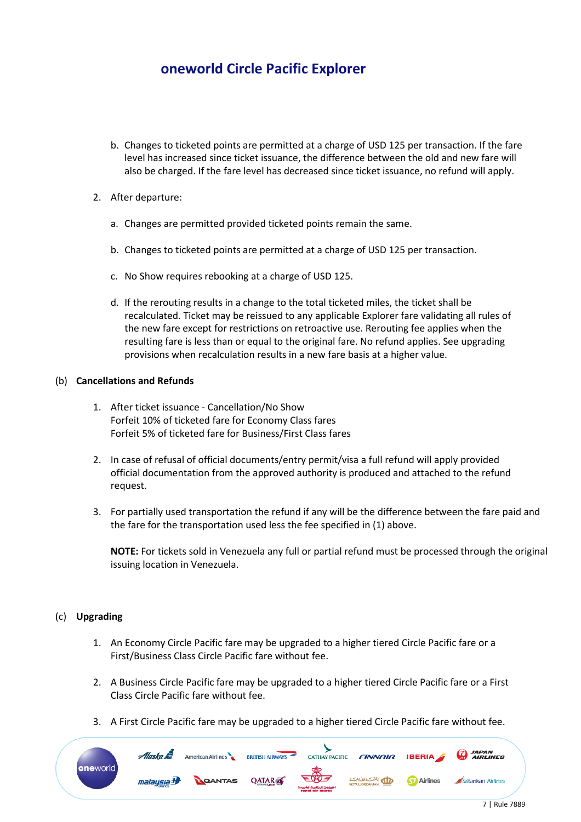- b. Changes to ticketed points are permitted at a charge of USD 125 per transaction. If the fare level has increased since ticket issuance, the difference between the old and new fare will also be charged. If the fare level has decreased since ticket issuance, no refund will apply.
- 2. After departure:
	- a. Changes are permitted provided ticketed points remain the same.
	- b. Changes to ticketed points are permitted at a charge of USD 125 per transaction.
	- c. No Show requires rebooking at a charge of USD 125.
	- d. If the rerouting results in a change to the total ticketed miles, the ticket shall be recalculated. Ticket may be reissued to any applicable Explorer fare validating all rules of the new fare except for restrictions on retroactive use. Rerouting fee applies when the resulting fare is less than or equal to the original fare. No refund applies. See upgrading provisions when recalculation results in a new fare basis at a higher value.

# (b) **Cancellations and Refunds**

- 1. After ticket issuance Cancellation/No Show Forfeit 10% of ticketed fare for Economy Class fares Forfeit 5% of ticketed fare for Business/First Class fares
- 2. In case of refusal of official documents/entry permit/visa a full refund will apply provided official documentation from the approved authority is produced and attached to the refund request.
- 3. For partially used transportation the refund if any will be the difference between the fare paid and the fare for the transportation used less the fee specified in (1) above.

**NOTE:** For tickets sold in Venezuela any full or partial refund must be processed through the original issuing location in Venezuela.

## (c) **Upgrading**

- 1. An Economy Circle Pacific fare may be upgraded to a higher tiered Circle Pacific fare or a First/Business Class Circle Pacific fare without fee.
- 2. A Business Circle Pacific fare may be upgraded to a higher tiered Circle Pacific fare or a First Class Circle Pacific fare without fee.
- 3. A First Circle Pacific fare may be upgraded to a higher tiered Circle Pacific fare without fee.

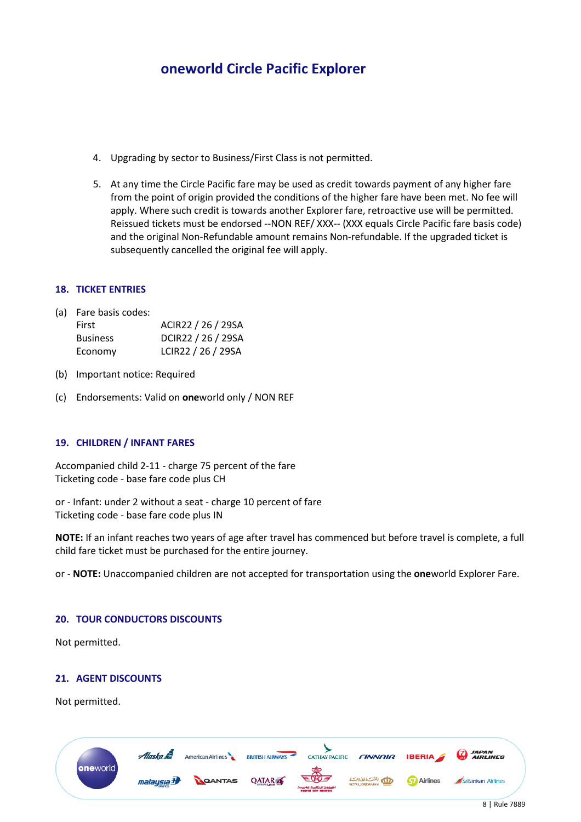- 4. Upgrading by sector to Business/First Class is not permitted.
- 5. At any time the Circle Pacific fare may be used as credit towards payment of any higher fare from the point of origin provided the conditions of the higher fare have been met. No fee will apply. Where such credit is towards another Explorer fare, retroactive use will be permitted. Reissued tickets must be endorsed --NON REF/ XXX-- (XXX equals Circle Pacific fare basis code) and the original Non-Refundable amount remains Non-refundable. If the upgraded ticket is subsequently cancelled the original fee will apply.

## **18. TICKET ENTRIES**

(a) Fare basis codes:

| First           | ACIR22 / 26 / 29SA |
|-----------------|--------------------|
| <b>Business</b> | DCIR22 / 26 / 29SA |
| Economy         | LCIR22 / 26 / 29SA |

- (b) Important notice: Required
- (c) Endorsements: Valid on **one**world only / NON REF

## **19. CHILDREN / INFANT FARES**

Accompanied child 2-11 - charge 75 percent of the fare Ticketing code - base fare code plus CH

or - Infant: under 2 without a seat - charge 10 percent of fare Ticketing code - base fare code plus IN

**NOTE:** If an infant reaches two years of age after travel has commenced but before travel is complete, a full child fare ticket must be purchased for the entire journey.

or - **NOTE:** Unaccompanied children are not accepted for transportation using the **one**world Explorer Fare.

### **20. TOUR CONDUCTORS DISCOUNTS**

Not permitted.

## **21. AGENT DISCOUNTS**

Not permitted.